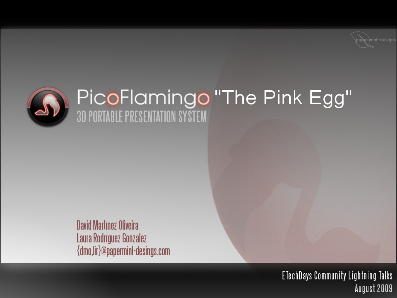



# PicoFlamingo "The Pink Egg"

**David Martínez Oliveira** Laura Rodríguez Gonzalez {dmo,lir}@papermint-desings.com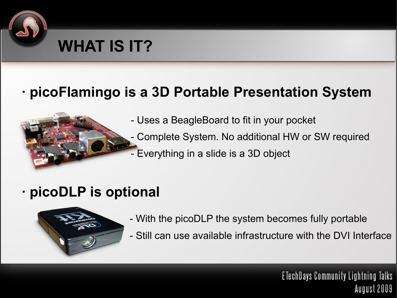

#### **· picoFlamingo is a 3D Portable Presentation System**



- Uses a BeagleBoard to fit in your pocket
- Complete System. No additional HW or SW required
- Everything in a slide is a 3D object

#### **· picoDLP is optional**



- With the picoDLP the system becomes fully portable
- Still can use available infrastructure with the DVI Interface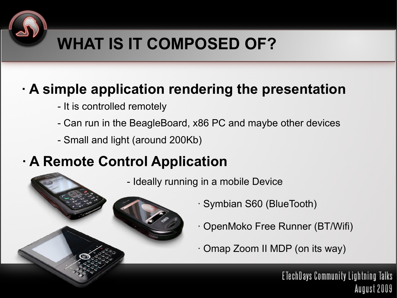## **WHAT IS IT COMPOSED OF?**

#### **· A simple application rendering the presentation**

- It is controlled remotely
- Can run in the BeagleBoard, x86 PC and maybe other devices
- Small and light (around 200Kb)

## **· A Remote Control Application**

- Ideally running in a mobile Device
- 
- · Symbian S60 (BlueTooth)
- · OpenMoko Free Runner (BT/Wifi)
- · Omap Zoom II MDP (on its way)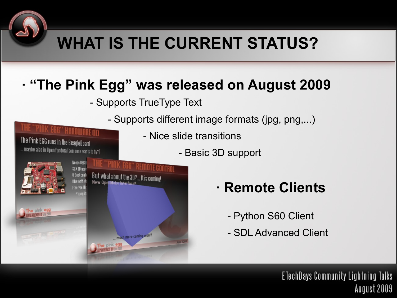## **WHAT IS THE CURRENT STATUS?**

#### **· "The Pink Egg" was released on August 2009**

- Supports TrueType Text

- Supports different image formats (jpg, png,...)

- Nice slide transitions
	- Basic 3D support



IK EGG'' HARDWARE (II)

The Pink EGG runs in the BeagleBoard ... maybe also in OpenPandora (someone wants to try?)

- **· Remote Clients**
	- Python S60 Client
	- SDL Advanced Client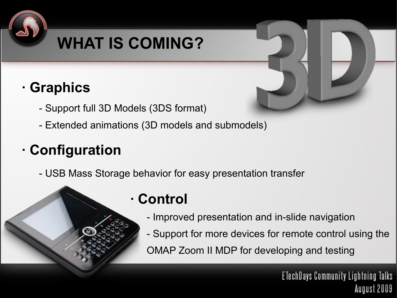## **WHAT IS COMING?**

## **· Graphics**

- Support full 3D Models (3DS format)
- Extended animations (3D models and submodels)

## **· Configuration**

- USB Mass Storage behavior for easy presentation transfer

### **· Control**

- Improved presentation and in-slide navigation
- Support for more devices for remote control using the OMAP Zoom II MDP for developing and testing